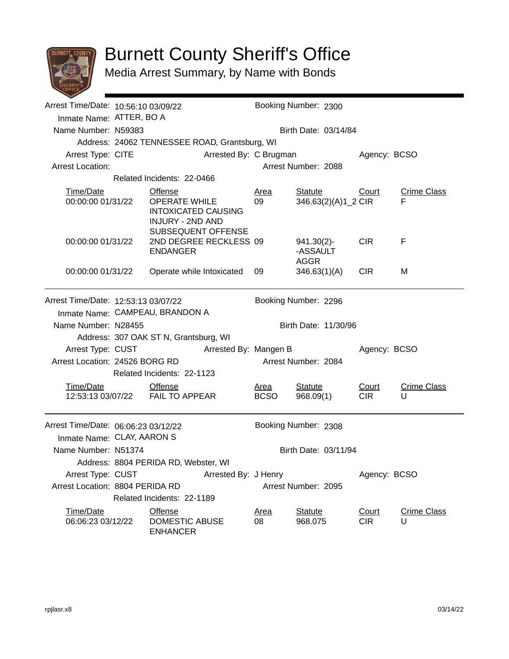

## Burnett County Sheriff's Office

Media Arrest Summary, by Name with Bonds

| Arrest Time/Date: 10:56:10 03/09/22                               |                                       |                                                                                                                       |                        | Booking Number: 2300       |                                              |                     |                         |  |  |
|-------------------------------------------------------------------|---------------------------------------|-----------------------------------------------------------------------------------------------------------------------|------------------------|----------------------------|----------------------------------------------|---------------------|-------------------------|--|--|
| Inmate Name: ATTER, BO A                                          |                                       |                                                                                                                       |                        |                            |                                              |                     |                         |  |  |
| Name Number: N59383                                               |                                       |                                                                                                                       |                        |                            | Birth Date: 03/14/84                         |                     |                         |  |  |
|                                                                   |                                       | Address: 24062 TENNESSEE ROAD, Grantsburg, WI                                                                         |                        |                            |                                              |                     |                         |  |  |
| Arrest Type: CITE                                                 |                                       |                                                                                                                       | Arrested By: C Brugman |                            |                                              | Agency: BCSO        |                         |  |  |
| <b>Arrest Location:</b>                                           |                                       |                                                                                                                       |                        |                            | Arrest Number: 2088                          |                     |                         |  |  |
|                                                                   | Related Incidents: 22-0466            |                                                                                                                       |                        |                            |                                              |                     |                         |  |  |
| Time/Date<br>00:00:00 01/31/22                                    |                                       | <b>Offense</b><br><b>OPERATE WHILE</b><br><b>INTOXICATED CAUSING</b><br><b>INJURY - 2ND AND</b><br>SUBSEQUENT OFFENSE |                        | <b>Area</b><br>09          | <b>Statute</b><br>346.63(2)(A)1_2 CIR        | Court               | <b>Crime Class</b><br>F |  |  |
| 00:00:00 01/31/22                                                 |                                       | 2ND DEGREE RECKLESS 09<br><b>ENDANGER</b>                                                                             |                        |                            | $941.30(2)$ -<br>-ASSAULT<br><b>AGGR</b>     | <b>CIR</b>          | F                       |  |  |
| 00:00:00 01/31/22                                                 |                                       | Operate while Intoxicated                                                                                             |                        | 09                         | 346.63(1)(A)                                 | <b>CIR</b>          | м                       |  |  |
| Arrest Time/Date: 12:53:13 03/07/22<br>Name Number: N28455        |                                       | Inmate Name: CAMPEAU, BRANDON A                                                                                       |                        |                            | Booking Number: 2296<br>Birth Date: 11/30/96 |                     |                         |  |  |
|                                                                   | Address: 307 OAK ST N, Grantsburg, WI |                                                                                                                       |                        |                            |                                              |                     |                         |  |  |
| Arrest Type: CUST                                                 | Arrested By: Mangen B                 |                                                                                                                       |                        |                            |                                              | Agency: BCSO        |                         |  |  |
|                                                                   | Arrest Location: 24526 BORG RD        |                                                                                                                       |                        |                            | Arrest Number: 2084                          |                     |                         |  |  |
| Related Incidents: 22-1123                                        |                                       |                                                                                                                       |                        |                            |                                              |                     |                         |  |  |
| Time/Date                                                         |                                       | <b>Offense</b><br>12:53:13 03/07/22 FAIL TO APPEAR                                                                    |                        | <u>Area</u><br><b>BCSO</b> | <b>Statute</b><br>968.09(1)                  | Court<br><b>CIR</b> | <b>Crime Class</b><br>U |  |  |
| Arrest Time/Date: 06:06:23 03/12/22<br>Inmate Name: CLAY, AARON S |                                       |                                                                                                                       |                        |                            | Booking Number: 2308                         |                     |                         |  |  |
| Name Number: N51374                                               |                                       |                                                                                                                       |                        |                            | Birth Date: 03/11/94                         |                     |                         |  |  |
|                                                                   |                                       | Address: 8804 PERIDA RD, Webster, WI                                                                                  |                        |                            |                                              |                     |                         |  |  |
| Arrest Type: CUST                                                 | Arrested By: J Henry                  |                                                                                                                       |                        |                            |                                              | Agency: BCSO        |                         |  |  |
| Arrest Location: 8804 PERIDA RD                                   |                                       |                                                                                                                       | Arrest Number: 2095    |                            |                                              |                     |                         |  |  |
|                                                                   |                                       | Related Incidents: 22-1189                                                                                            |                        |                            |                                              |                     |                         |  |  |
| Time/Date<br>06:06:23 03/12/22                                    |                                       | <b>Offense</b><br>DOMESTIC ABUSE<br><b>ENHANCER</b>                                                                   |                        | <b>Area</b><br>08          | <b>Statute</b><br>968.075                    | Court<br><b>CIR</b> | <b>Crime Class</b><br>U |  |  |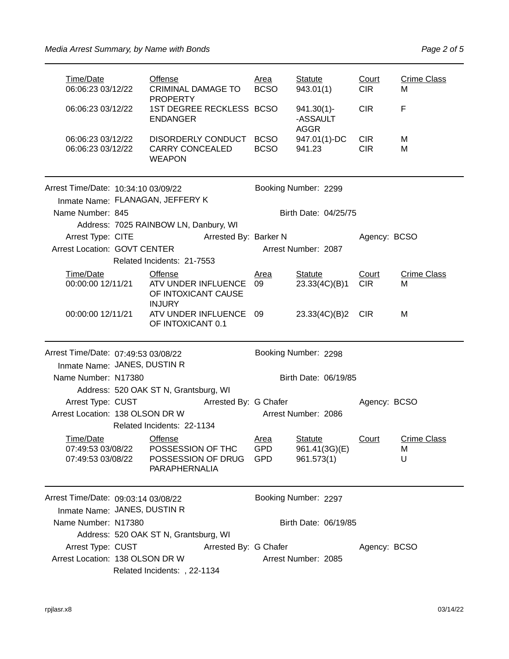| Time/Date<br>06:06:23 03/12/22                      |                                            | <b>Offense</b><br><b>CRIMINAL DAMAGE TO</b><br><b>PROPERTY</b>             |                       | <u>Area</u><br><b>BCSO</b>              | <b>Statute</b><br>943.01(1)                   | Court<br><b>CIR</b>      | <b>Crime Class</b><br>м      |  |
|-----------------------------------------------------|--------------------------------------------|----------------------------------------------------------------------------|-----------------------|-----------------------------------------|-----------------------------------------------|--------------------------|------------------------------|--|
| 06:06:23 03/12/22                                   |                                            | 1ST DEGREE RECKLESS BCSO<br><b>ENDANGER</b>                                |                       |                                         | $941.30(1)$ -<br>-ASSAULT<br><b>AGGR</b>      | <b>CIR</b>               | F                            |  |
| 06:06:23 03/12/22<br>06:06:23 03/12/22              |                                            | DISORDERLY CONDUCT<br><b>CARRY CONCEALED</b><br><b>WEAPON</b>              |                       | <b>BCSO</b><br><b>BCSO</b>              | 947.01(1)-DC<br>941.23                        | <b>CIR</b><br><b>CIR</b> | м<br>M                       |  |
| Arrest Time/Date: 10:34:10 03/09/22                 |                                            |                                                                            |                       |                                         | Booking Number: 2299                          |                          |                              |  |
| Inmate Name: FLANAGAN, JEFFERY K                    |                                            |                                                                            |                       |                                         |                                               |                          |                              |  |
| Name Number: 845                                    |                                            |                                                                            |                       |                                         | Birth Date: 04/25/75                          |                          |                              |  |
|                                                     |                                            | Address: 7025 RAINBOW LN, Danbury, WI                                      |                       |                                         |                                               |                          |                              |  |
| Arrest Type: CITE                                   |                                            |                                                                            | Arrested By: Barker N |                                         |                                               | Agency: BCSO             |                              |  |
| <b>Arrest Location: GOVT CENTER</b>                 |                                            |                                                                            |                       |                                         | Arrest Number: 2087                           |                          |                              |  |
|                                                     |                                            | Related Incidents: 21-7553                                                 |                       |                                         |                                               |                          |                              |  |
| Time/Date<br>00:00:00 12/11/21                      |                                            | Offense<br>ATV UNDER INFLUENCE<br>OF INTOXICANT CAUSE<br><b>INJURY</b>     |                       | <u>Area</u><br>09                       | <b>Statute</b><br>23.33(4C)(B)1               | Court<br><b>CIR</b>      | <b>Crime Class</b><br>м      |  |
| 00:00:00 12/11/21                                   |                                            | ATV UNDER INFLUENCE<br>OF INTOXICANT 0.1                                   |                       | 09                                      | 23.33(4C)(B)2                                 | CIR.                     | м                            |  |
| Arrest Time/Date: 07:49:53 03/08/22                 |                                            |                                                                            |                       |                                         | Booking Number: 2298                          |                          |                              |  |
| Inmate Name: JANES, DUSTIN R                        |                                            |                                                                            |                       |                                         |                                               |                          |                              |  |
|                                                     | Name Number: N17380                        |                                                                            |                       |                                         | Birth Date: 06/19/85                          |                          |                              |  |
|                                                     |                                            | Address: 520 OAK ST N, Grantsburg, WI                                      |                       |                                         |                                               |                          |                              |  |
|                                                     | Arrest Type: CUST<br>Arrested By: G Chafer |                                                                            |                       |                                         | Agency: BCSO                                  |                          |                              |  |
| Arrest Location: 138 OLSON DR W                     |                                            |                                                                            |                       | Arrest Number: 2086                     |                                               |                          |                              |  |
|                                                     |                                            | Related Incidents: 22-1134                                                 |                       |                                         |                                               |                          |                              |  |
| Time/Date<br>07:49:53 03/08/22<br>07:49:53 03/08/22 |                                            | Offense<br>POSSESSION OF THC<br>POSSESSION OF DRUG<br><b>PARAPHERNALIA</b> |                       | <b>Area</b><br><b>GPD</b><br><b>GPD</b> | <b>Statute</b><br>961.41(3G)(E)<br>961.573(1) | Court                    | <b>Crime Class</b><br>м<br>U |  |
|                                                     |                                            |                                                                            |                       |                                         |                                               |                          |                              |  |
| Arrest Time/Date: 09:03:14 03/08/22                 |                                            |                                                                            |                       |                                         | Booking Number: 2297                          |                          |                              |  |
| Inmate Name: JANES, DUSTIN R                        |                                            |                                                                            |                       |                                         |                                               |                          |                              |  |
| Name Number: N17380                                 |                                            |                                                                            |                       |                                         | Birth Date: 06/19/85                          |                          |                              |  |
|                                                     |                                            | Address: 520 OAK ST N, Grantsburg, WI                                      |                       |                                         |                                               |                          |                              |  |
| Arrest Type: CUST                                   |                                            |                                                                            | Arrested By: G Chafer |                                         |                                               | Agency: BCSO             |                              |  |
| Arrest Location: 138 OLSON DR W                     |                                            | Related Incidents: , 22-1134                                               |                       |                                         | Arrest Number: 2085                           |                          |                              |  |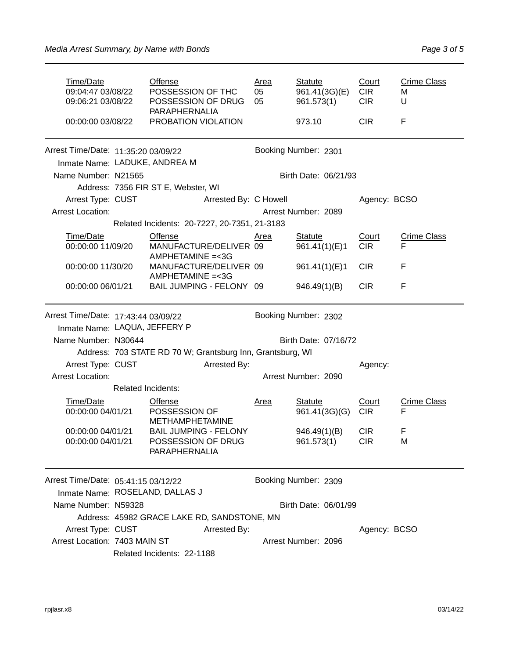| Time/Date                                                            | <b>Offense</b><br>POSSESSION OF THC<br>09:04:47 03/08/22<br>POSSESSION OF DRUG<br>09:06:21 03/08/22<br><b>PARAPHERNALIA</b><br>PROBATION VIOLATION<br>00:00:00 03/08/22 |                                                        | <u>Area</u><br>05<br>05 | <b>Statute</b><br>961.41(3G)(E)<br>961.573(1)<br>973.10 | Court<br><b>CIR</b><br><b>CIR</b><br><b>CIR</b> | <b>Crime Class</b><br>м<br>U<br>F |                    |
|----------------------------------------------------------------------|-------------------------------------------------------------------------------------------------------------------------------------------------------------------------|--------------------------------------------------------|-------------------------|---------------------------------------------------------|-------------------------------------------------|-----------------------------------|--------------------|
| Arrest Time/Date: 11:35:20 03/09/22<br>Inmate Name: LADUKE, ANDREA M |                                                                                                                                                                         |                                                        | Booking Number: 2301    |                                                         |                                                 |                                   |                    |
| Name Number: N21565                                                  |                                                                                                                                                                         |                                                        |                         |                                                         | Birth Date: 06/21/93                            |                                   |                    |
|                                                                      |                                                                                                                                                                         | Address: 7356 FIR ST E, Webster, WI                    |                         |                                                         |                                                 |                                   |                    |
| Arrest Type: CUST                                                    |                                                                                                                                                                         |                                                        | Arrested By: C Howell   |                                                         |                                                 | Agency: BCSO                      |                    |
| <b>Arrest Location:</b>                                              |                                                                                                                                                                         |                                                        |                         |                                                         | Arrest Number: 2089                             |                                   |                    |
|                                                                      |                                                                                                                                                                         | Related Incidents: 20-7227, 20-7351, 21-3183           |                         |                                                         |                                                 |                                   |                    |
| Time/Date                                                            |                                                                                                                                                                         | <b>Offense</b>                                         |                         | Area                                                    | <b>Statute</b>                                  | Court                             | <b>Crime Class</b> |
| 00:00:00 11/09/20                                                    |                                                                                                                                                                         | MANUFACTURE/DELIVER 09<br>AMPHETAMINE = < 3G           |                         |                                                         | 961.41(1)(E)1                                   | <b>CIR</b>                        | F                  |
| 00:00:00 11/30/20                                                    |                                                                                                                                                                         | MANUFACTURE/DELIVER 09                                 |                         |                                                         | 961.41(1)(E)1                                   | <b>CIR</b>                        | F                  |
|                                                                      |                                                                                                                                                                         | AMPHETAMINE = < 3G                                     |                         |                                                         |                                                 |                                   |                    |
| 00:00:00 06/01/21                                                    |                                                                                                                                                                         | BAIL JUMPING - FELONY 09                               |                         |                                                         | 946.49(1)(B)                                    | <b>CIR</b>                        | F                  |
| Arrest Time/Date: 17:43:44 03/09/22                                  |                                                                                                                                                                         |                                                        |                         |                                                         | Booking Number: 2302                            |                                   |                    |
| Inmate Name: LAQUA, JEFFERY P                                        |                                                                                                                                                                         |                                                        |                         |                                                         |                                                 |                                   |                    |
| Name Number: N30644                                                  |                                                                                                                                                                         |                                                        |                         | Birth Date: 07/16/72                                    |                                                 |                                   |                    |
|                                                                      | Address: 703 STATE RD 70 W; Grantsburg Inn, Grantsburg, WI                                                                                                              |                                                        |                         |                                                         |                                                 |                                   |                    |
| Arrested By:<br>Arrest Type: CUST                                    |                                                                                                                                                                         |                                                        |                         |                                                         | Agency:                                         |                                   |                    |
| <b>Arrest Location:</b>                                              |                                                                                                                                                                         | Arrest Number: 2090                                    |                         |                                                         |                                                 |                                   |                    |
|                                                                      | <b>Related Incidents:</b>                                                                                                                                               |                                                        |                         |                                                         |                                                 |                                   |                    |
| Time/Date                                                            |                                                                                                                                                                         | <b>Offense</b>                                         |                         | <u>Area</u>                                             | <b>Statute</b>                                  | Court                             | <b>Crime Class</b> |
| 00:00:00 04/01/21                                                    |                                                                                                                                                                         | POSSESSION OF                                          |                         |                                                         | 961.41(3G)(G)                                   | <b>CIR</b>                        | F                  |
|                                                                      |                                                                                                                                                                         | <b>METHAMPHETAMINE</b><br><b>BAIL JUMPING - FELONY</b> |                         |                                                         |                                                 | <b>CIR</b>                        |                    |
| 00:00:00 04/01/21<br>00:00:00 04/01/21                               |                                                                                                                                                                         | POSSESSION OF DRUG                                     |                         |                                                         | 946.49(1)(B)<br>961.573(1)                      | <b>CIR</b>                        | F<br>М             |
|                                                                      |                                                                                                                                                                         | PARAPHERNALIA                                          |                         |                                                         |                                                 |                                   |                    |
| Arrest Time/Date: 05:41:15 03/12/22                                  |                                                                                                                                                                         |                                                        |                         |                                                         | Booking Number: 2309                            |                                   |                    |
|                                                                      | Inmate Name: ROSELAND, DALLAS J                                                                                                                                         |                                                        |                         |                                                         |                                                 |                                   |                    |
| Name Number: N59328                                                  |                                                                                                                                                                         |                                                        |                         | Birth Date: 06/01/99                                    |                                                 |                                   |                    |
|                                                                      |                                                                                                                                                                         | Address: 45982 GRACE LAKE RD, SANDSTONE, MN            |                         |                                                         |                                                 |                                   |                    |
| Arrest Type: CUST                                                    |                                                                                                                                                                         |                                                        | Arrested By:            |                                                         |                                                 | Agency: BCSO                      |                    |
| Arrest Location: 7403 MAIN ST                                        |                                                                                                                                                                         |                                                        |                         |                                                         | Arrest Number: 2096                             |                                   |                    |
|                                                                      |                                                                                                                                                                         | Related Incidents: 22-1188                             |                         |                                                         |                                                 |                                   |                    |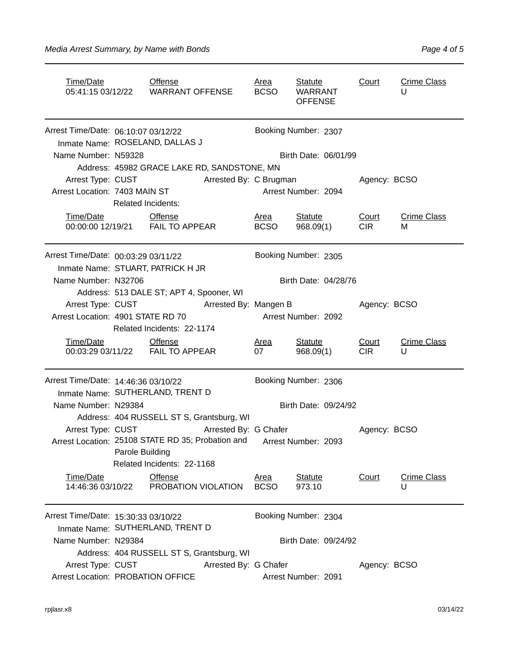| Time/Date<br><b>Offense</b>         |                                                                                                                             |                                                                                                   |                      | <u>Area</u><br><b>BCSO</b>          | Statute<br><b>WARRANT</b><br><b>OFFENSE</b> | Court               | <b>Crime Class</b><br>U |  |  |
|-------------------------------------|-----------------------------------------------------------------------------------------------------------------------------|---------------------------------------------------------------------------------------------------|----------------------|-------------------------------------|---------------------------------------------|---------------------|-------------------------|--|--|
| Arrest Time/Date: 06:10:07 03/12/22 | Inmate Name: ROSELAND, DALLAS J                                                                                             |                                                                                                   | Booking Number: 2307 |                                     |                                             |                     |                         |  |  |
| Name Number: N59328                 |                                                                                                                             |                                                                                                   |                      |                                     | Birth Date: 06/01/99                        |                     |                         |  |  |
|                                     | Address: 45982 GRACE LAKE RD, SANDSTONE, MN                                                                                 |                                                                                                   |                      |                                     |                                             |                     |                         |  |  |
| Arrest Type: CUST                   |                                                                                                                             | Arrested By: C Brugman                                                                            |                      | Agency: BCSO                        |                                             |                     |                         |  |  |
| Arrest Location: 7403 MAIN ST       |                                                                                                                             | <b>Related Incidents:</b>                                                                         |                      |                                     | Arrest Number: 2094                         |                     |                         |  |  |
| Time/Date                           |                                                                                                                             | Offense<br>00:00:00 12/19/21    FAIL TO APPEAR                                                    |                      | <u>Area</u><br><b>BCSO</b>          | <b>Statute</b><br>968.09(1)                 | Court<br><b>CIR</b> | <b>Crime Class</b><br>М |  |  |
| Arrest Time/Date: 00:03:29 03/11/22 |                                                                                                                             | Inmate Name: STUART, PATRICK H JR                                                                 |                      | Booking Number: 2305                |                                             |                     |                         |  |  |
| Name Number: N32706                 |                                                                                                                             | Address: 513 DALE ST; APT 4, Spooner, WI                                                          |                      | Birth Date: 04/28/76                |                                             |                     |                         |  |  |
|                                     |                                                                                                                             | Arrest Type: CUST Arrested By: Mangen B                                                           |                      |                                     |                                             | Agency: BCSO        |                         |  |  |
| Arrest Location: 4901 STATE RD 70   |                                                                                                                             | Related Incidents: 22-1174                                                                        |                      |                                     | Arrest Number: 2092                         |                     |                         |  |  |
| Time/Date                           |                                                                                                                             | <b>Offense</b><br>00:03:29 03/11/22    FAIL TO APPEAR                                             |                      | Area<br>07                          | <b>Statute</b><br>968.09(1)                 | Court<br><b>CIR</b> | <b>Crime Class</b><br>U |  |  |
|                                     | Arrest Time/Date: 14:46:36 03/10/22<br>Inmate Name: SUTHERLAND, TRENT D                                                     |                                                                                                   |                      | Booking Number: 2306                |                                             |                     |                         |  |  |
| Name Number: N29384                 |                                                                                                                             |                                                                                                   |                      | Birth Date: 09/24/92                |                                             |                     |                         |  |  |
|                                     | Address: 404 RUSSELL ST S, Grantsburg, WI                                                                                   |                                                                                                   |                      |                                     |                                             |                     |                         |  |  |
| Arrest Type: CUST                   | Arrested By: G Chafer<br>Arrest Location: 25108 STATE RD 35; Probation and<br>Parole Building<br>Related Incidents: 22-1168 |                                                                                                   |                      | Agency: BCSO<br>Arrest Number: 2093 |                                             |                     |                         |  |  |
| Time/Date<br>14:46:36 03/10/22      |                                                                                                                             | Offense<br>PROBATION VIOLATION                                                                    |                      | <u>Area</u><br><b>BCSO</b>          | <b>Statute</b><br>973.10                    | Court               | <b>Crime Class</b><br>U |  |  |
| Arrest Time/Date: 15:30:33 03/10/22 |                                                                                                                             |                                                                                                   |                      |                                     | Booking Number: 2304                        |                     |                         |  |  |
|                                     |                                                                                                                             | Inmate Name: SUTHERLAND, TRENT D                                                                  |                      |                                     |                                             |                     |                         |  |  |
| Name Number: N29384                 |                                                                                                                             |                                                                                                   |                      |                                     | Birth Date: 09/24/92                        |                     |                         |  |  |
|                                     | Address: 404 RUSSELL ST S, Grantsburg, WI                                                                                   |                                                                                                   |                      |                                     |                                             |                     |                         |  |  |
| Arrest Type: CUST                   |                                                                                                                             | Arrested By: G Chafer<br>Agency: BCSO<br>Arrest Location: PROBATION OFFICE<br>Arrest Number: 2091 |                      |                                     |                                             |                     |                         |  |  |